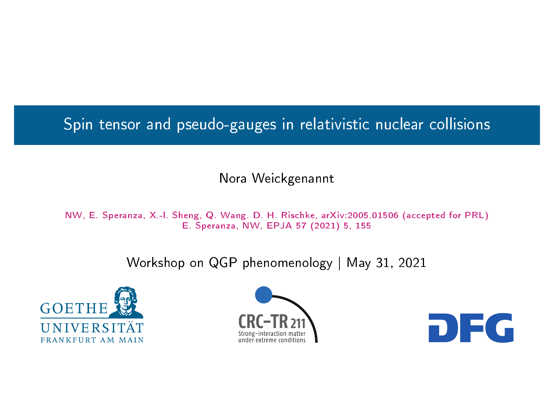<span id="page-0-0"></span>Spin tensor and pseudo-gauges in relativistic nuclear collisions

#### Nora Weickgenannt

NW, E. Speranza, X.-l. Sheng, Q. Wang. D. H. Rischke, arXiv:2005.01506 (accepted for PRL) E. Speranza, NW, EPJA 57 (2021) 5, 155

Workshop on QGP phenomenology | May 31, 2021





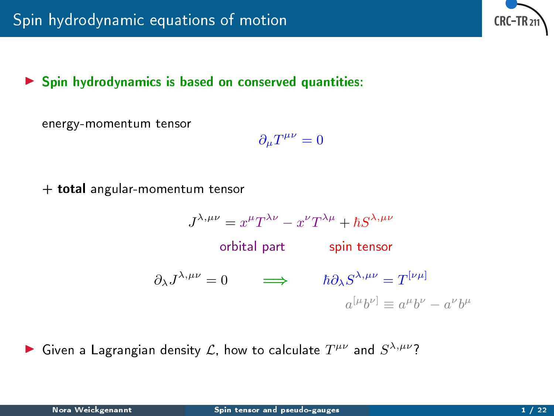

#### $\triangleright$  Spin hydrodynamics is based on conserved quantities:

energy-momentum tensor

$$
\partial_\mu T^{\mu\nu}=0
$$

+ total angular-momentum tensor

$$
J^{\lambda,\mu\nu} = x^{\mu}T^{\lambda\nu} - x^{\nu}T^{\lambda\mu} + \hbar S^{\lambda,\mu\nu}
$$
  
\norbital part spin tensor  
\n
$$
\partial_{\lambda}J^{\lambda,\mu\nu} = 0 \qquad \Longrightarrow \qquad \hbar \partial_{\lambda}S^{\lambda,\mu\nu} = T^{[\nu\mu]}
$$

$$
a^{[\mu}b^{\nu]} \equiv a^{\mu}b^{\nu} - a^{\nu}b^{\mu}
$$

Given a Lagrangian density L, how to calculate  $T^{\mu\nu}$  and  $S^{\lambda,\mu\nu}$ ?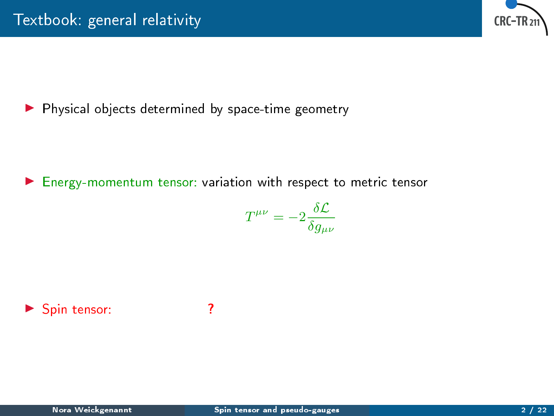

 $\blacktriangleright$  Physical objects determined by space-time geometry

▶ Energy-momentum tensor: variation with respect to metric tensor

$$
T^{\mu\nu}=-2\frac{\delta\mathcal{L}}{\delta g_{\mu\nu}}
$$

▶ Spin tensor: ?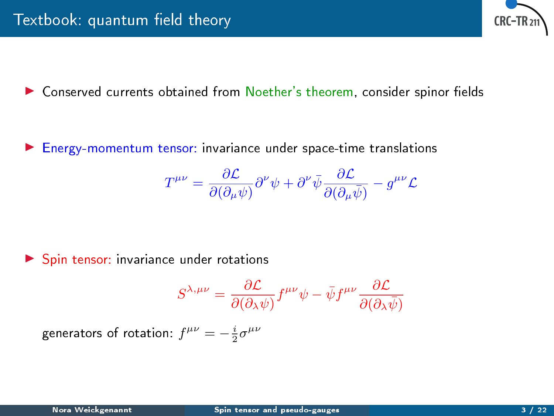

**In Conserved currents obtained from Noether's theorem, consider spinor fields** 

**Finally Energy-momentum tensor:** invariance under space-time translations

$$
T^{\mu\nu}=\frac{\partial \mathcal{L}}{\partial(\partial_{\mu}\psi)}\partial^{\nu}\psi+\partial^{\nu}\bar{\psi}\frac{\partial \mathcal{L}}{\partial(\partial_{\mu}\bar{\psi})}-g^{\mu\nu}\mathcal{L}
$$

I Spin tensor: invariance under rotations

$$
S^{\lambda,\mu\nu} = \frac{\partial \mathcal{L}}{\partial(\partial_{\lambda}\psi)} f^{\mu\nu} \psi - \bar{\psi} f^{\mu\nu} \frac{\partial \mathcal{L}}{\partial(\partial_{\lambda}\bar{\psi})}
$$

generators of rotation:  $f^{\mu\nu} = -\frac{i}{2}\sigma^{\mu\nu}$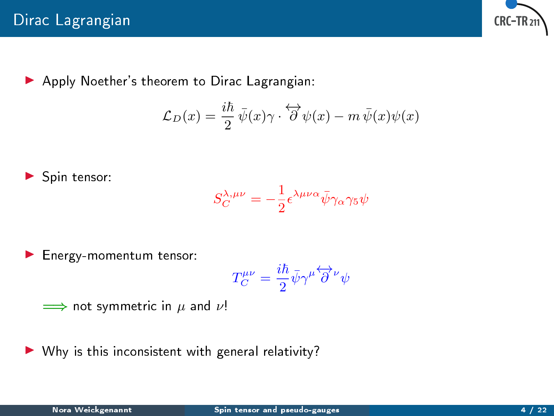

Apply Noether's theorem to Dirac Lagrangian:

$$
\mathcal{L}_D(x) = \frac{i\hbar}{2} \bar{\psi}(x)\gamma \cdot \overleftrightarrow{\partial} \psi(x) - m \bar{\psi}(x)\psi(x)
$$

$$
\blacktriangleright
$$
 Spin tensor:

$$
S_C^{\lambda,\mu\nu} = -\frac{1}{2} \epsilon^{\lambda\mu\nu\alpha} \bar{\psi} \gamma_\alpha \gamma_5 \psi
$$

I Energy-momentum tensor:

$$
T_C^{\mu\nu} = \frac{i\hbar}{2}\bar{\psi}\gamma^{\mu}\overleftrightarrow{\partial}^{\nu}\psi
$$

$$
\implies \text{not symmetric in } \mu \text{ and } \nu!
$$

 $\triangleright$  Why is this inconsistent with general relativity?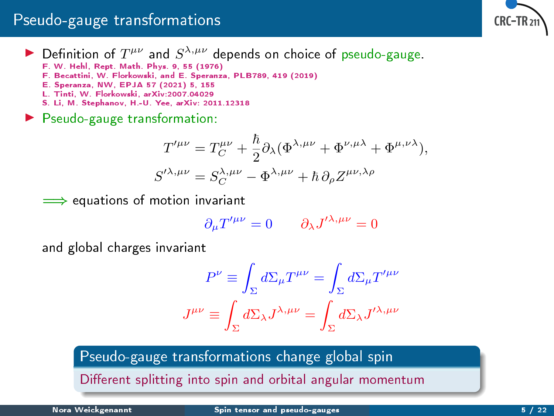## Pseudo-gauge transformations



- Definition of  $T^{\mu\nu}$  and  $S^{\lambda,\mu\nu}$  depends on choice of pseudo-gauge.
	- F. W. Hehl, Rept. Math. Phys. 9, 55 (1976)
	- F. Becattini, W. Florkowski, and E. Speranza, PLB789, 419 (2019)
	- E. Speranza, NW, EPJA 57 (2021) 5, 155
	- L. Tinti, W. Florkowski, arXiv:2007.04029
	- S. Li, M. Stephanov, H.-U. Yee, arXiv: 2011.12318
- **Pseudo-gauge transformation:**

$$
T^{\prime \mu \nu} = T_C^{\mu \nu} + \frac{\hbar}{2} \partial_{\lambda} (\Phi^{\lambda, \mu \nu} + \Phi^{\nu, \mu \lambda} + \Phi^{\mu, \nu \lambda}),
$$
  

$$
S^{\prime \lambda, \mu \nu} = S_C^{\lambda, \mu \nu} - \Phi^{\lambda, \mu \nu} + \hbar \partial_{\rho} Z^{\mu \nu, \lambda \rho}
$$

<sub>⇒→</sub> equations of motion invariant

$$
\partial_{\mu}T'^{\mu\nu}=0\qquad \partial_{\lambda}J'^{\lambda,\mu\nu}=0
$$

and global charges invariant

$$
P^{\nu} \equiv \int_{\Sigma} d\Sigma_{\mu} T^{\mu\nu} = \int_{\Sigma} d\Sigma_{\mu} T^{\prime \mu \nu}
$$

$$
J^{\mu\nu} \equiv \int_{\Sigma} d\Sigma_{\lambda} J^{\lambda, \mu \nu} = \int_{\Sigma} d\Sigma_{\lambda} J^{\prime \lambda, \mu \nu}
$$

Pseudo-gauge transformations change global spin

Different splitting into spin and orbital angular momentum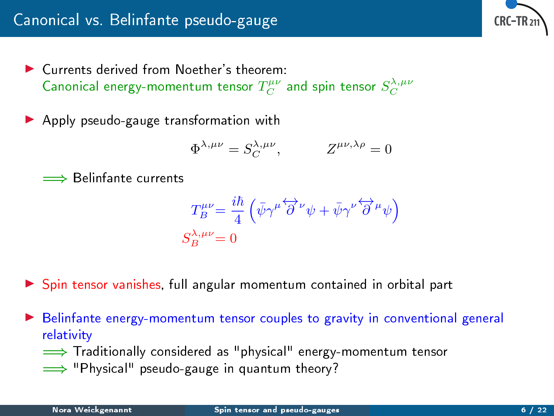▶ Currents derived from Noether's theorem: Canonical energy-momentum tensor  $T_C^{\mu\nu}$  and spin tensor  $S_C^{\lambda,\mu\nu}$ 

▶ Apply pseudo-gauge transformation with

$$
\Phi^{\lambda,\mu\nu} = S_C^{\lambda,\mu\nu}, \qquad Z^{\mu\nu,\lambda\rho} = 0
$$

=⇒ Belinfante currents

$$
T_B^{\mu\nu} = \frac{i\hbar}{4} \left( \bar{\psi} \gamma^{\mu} \overleftrightarrow{\partial}^{\nu} \psi + \bar{\psi} \gamma^{\nu} \overleftrightarrow{\partial}^{\mu} \psi \right)
$$
  

$$
S_B^{\lambda,\mu\nu} = 0
$$

▶ Spin tensor vanishes, full angular momentum contained in orbital part

**E** Belinfante energy-momentum tensor couples to gravity in conventional general relativity

=⇒ Traditionally considered as "physical" energy-momentum tensor

 $\implies$  "Physical" pseudo-gauge in quantum theory?

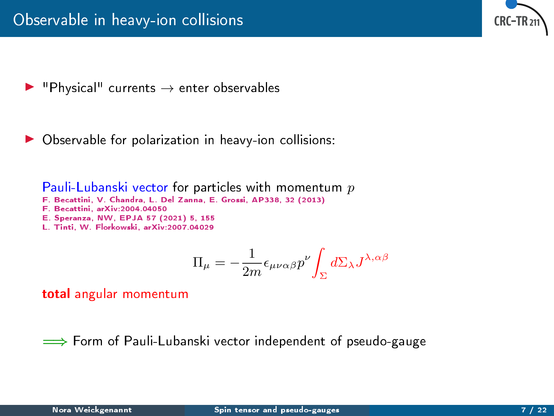

- <code>"Physical"</code> currents  $\rightarrow$  enter observables
- Observable for polarization in heavy-ion collisions:

Pauli-Lubanski vector for particles with momentum  $p$ 

- F. Becattini, V. Chandra, L. Del Zanna, E. Grossi, AP338, 32 (2013)
- F. Becattini, arXiv:2004.04050
- E. Speranza, NW, EPJA 57 (2021) 5, 155
- L. Tinti, W. Florkowski, arXiv:2007.04029

$$
\Pi_\mu = -\frac{1}{2m} \epsilon_{\mu\nu\alpha\beta} p^\nu \! \int_\Sigma d\Sigma_\lambda J^{\lambda,\alpha\beta}
$$

total angular momentum

 $\implies$  Form of Pauli-Lubanski vector independent of pseudo-gauge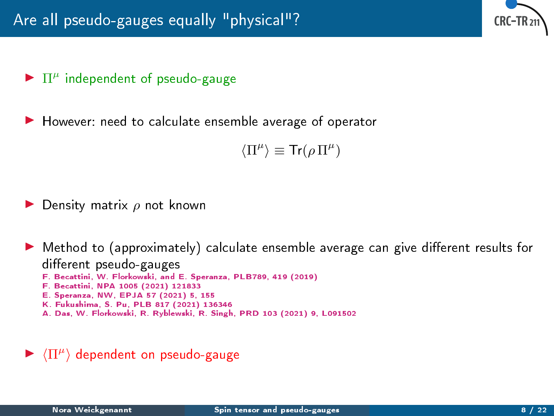

# $\blacktriangleright$   $\Pi^{\mu}$  independent of pseudo-gauge

However: need to calculate ensemble average of operator

 $\langle \Pi^\mu \rangle \equiv \text{Tr}(\rho \, \Pi^\mu)$ 

Density matrix  $\rho$  not known

In Method to (approximately) calculate ensemble average can give different results for different pseudo-gauges F. Becattini, W. Florkowski, and E. Speranza, PLB789, 419 (2019) F. Becattini, NPA 1005 (2021) 121833 E. Speranza, NW, EPJA 57 (2021) 5, 155 K. Fukushima, S. Pu, PLB 817 (2021) 136346 A. Das, W. Florkowski, R. Ryblewski, R. Singh, PRD 103 (2021) 9, L091502

 $\blacktriangleright \langle \Pi^\mu \rangle$  dependent on pseudo-gauge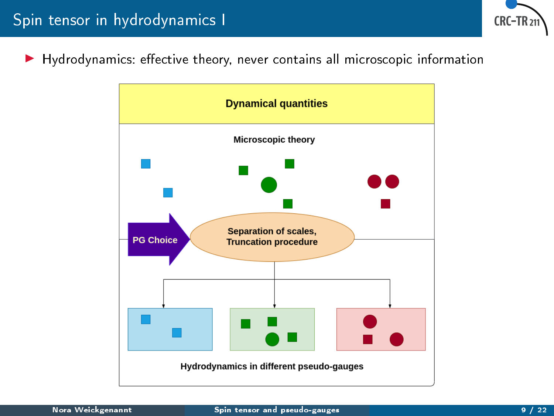

Hydrodynamics: effective theory, never contains all microscopic information

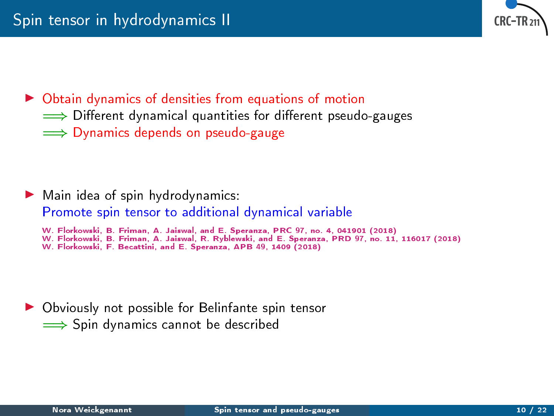

 $\triangleright$  Obtain dynamics of densities from equations of motion

- ⇒ Different dynamical quantities for different pseudo-gauges
- ⇒ Dynamics depends on pseudo-gauge

 $\blacktriangleright$  Main idea of spin hydrodynamics: Promote spin tensor to additional dynamical variable

W. Florkowski, B. Friman, A. Jaiswal, and E. Speranza, PRC 97, no. 4, 041901 (2018)

W. Florkowski, B. Friman, A. Jaiswal, R. Ryblewski, and E. Speranza, PRD 97, no. 11, 116017 (2018)

W. Florkowski, F. Becattini, and E. Speranza, APB 49, 1409 (2018)

 $\triangleright$  Obviously not possible for Belinfante spin tensor =⇒ Spin dynamics cannot be described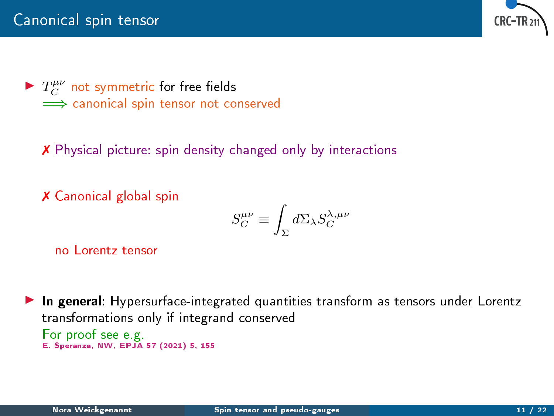

 $\blacktriangleright$   $T_C^{\mu\nu}$  not symmetric for free fields </u> canonical spin tensor not conserved

✗ Physical picture: spin density changed only by interactions

✗ Canonical global spin

$$
S_C^{\mu\nu} \equiv \int_{\Sigma} d\Sigma_{\lambda} S_C^{\lambda,\mu\nu}
$$

no Lorentz tensor

In general: Hypersurface-integrated quantities transform as tensors under Lorentz transformations only if integrand conserved For proof see e.g. E. Speranza, NW, EPJA 57 (2021) 5, 155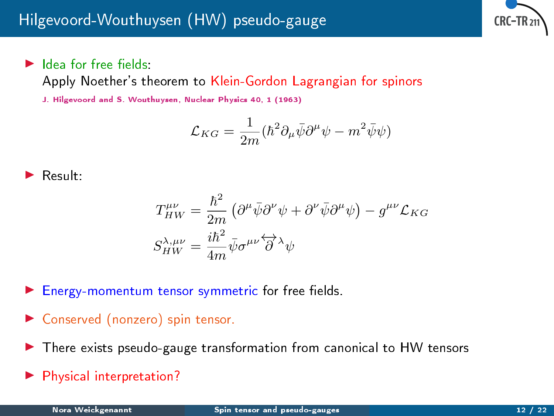

## $\blacktriangleright$  Idea for free fields:

Apply Noether's theorem to Klein-Gordon Lagrangian for spinors

J. Hilgevoord and S. Wouthuysen, Nuclear Physics 40, 1 (1963)

$$
\mathcal{L}_{KG} = \frac{1}{2m} (\hbar^2 \partial_\mu \bar{\psi} \partial^\mu \psi - m^2 \bar{\psi} \psi)
$$

$$
\blacktriangleright
$$
 Result:

$$
\begin{split} T^{\mu\nu}_{HW} &= \frac{\hbar^2}{2m}\left(\partial^\mu\bar{\psi}\partial^\nu\psi + \partial^\nu\bar{\psi}\partial^\mu\psi\right) - g^{\mu\nu}\mathcal{L}_{KG} \\ S^{\lambda,\mu\nu}_{HW} &= \frac{i\hbar^2}{4m}\bar{\psi}\sigma^{\mu\nu}\overleftrightarrow{\partial}^\lambda\psi \end{split}
$$

Energy-momentum tensor symmetric for free fields.

- ▶ Conserved (nonzero) spin tensor.
- I There exists pseudo-gauge transformation from canonical to HW tensors
- Physical interpretation?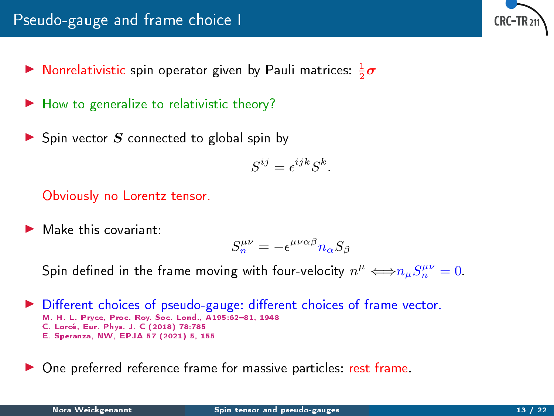- $\blacktriangleright$  Nonrelativistic spin operator given by Pauli matrices:  $\frac{1}{2}\boldsymbol{\sigma}$
- $\blacktriangleright$  How to generalize to relativistic theory?
- $\triangleright$  Spin vector S connected to global spin by

$$
S^{ij} = \epsilon^{ijk} S^k.
$$

Obviously no Lorentz tensor.

Make this covariant:

$$
S_n^{\mu\nu} = -\epsilon^{\mu\nu\alpha\beta} n_\alpha S_\beta
$$

Spin defined in the frame moving with four-velocity  $n^{\mu} \Longleftrightarrow n_{\mu} S_n^{\mu\nu} = 0.$ 

- $\triangleright$  Different choices of pseudo-gauge: different choices of frame vector. M. H. L. Pryce, Proc. Roy. Soc. Lond., A195:62-81, 1948 C. Lorcé, Eur. Phys. J. C (2018) 78:785 E. Speranza, NW, EPJA 57 (2021) 5, 155
- One preferred reference frame for massive particles: rest frame.

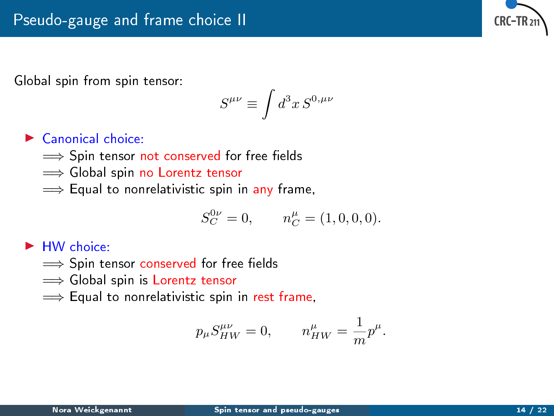

Global spin from spin tensor:

$$
S^{\mu\nu}\equiv \int d^3x\, S^{0,\mu\nu}
$$

### $\blacktriangleright$  Canonical choice:

- $\implies$  Spin tensor not conserved for free fields
- </u> Global spin no Lorentz tensor
- $\implies$  Equal to nonrelativistic spin in any frame,

$$
S_C^{0\nu} = 0, \qquad n_C^{\mu} = (1, 0, 0, 0).
$$

#### $\blacktriangleright$  HW choice:

- $\implies$  Spin tensor conserved for free fields
- ⇒ Global spin is Lorentz tensor
- $\implies$  Equal to nonrelativistic spin in rest frame,

$$
p_\mu S_{HW}^{\mu\nu}=0,\qquad n_{HW}^\mu=\frac{1}{m}p^\mu.
$$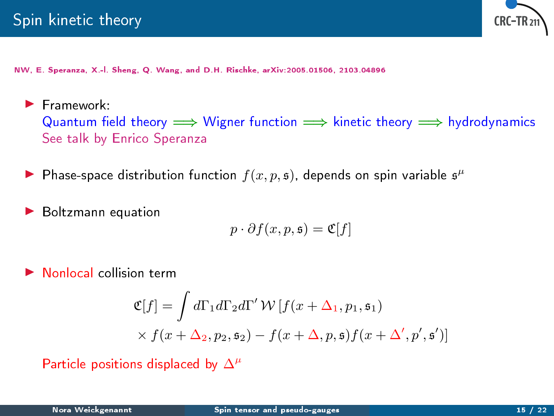

NW, E. Speranza, X.-l. Sheng, Q. Wang, and D.H. Rischke, arXiv:2005.01506, 2103.04896

- $\blacktriangleright$  Framework: Quantum field theory  $\implies$  Wigner function  $\implies$  kinetic theory  $\implies$  hydrodynamics See talk by Enrico Speranza
- ▶ Phase-space distribution function  $f(x, p, \mathfrak{s})$ , depends on spin variable  $\mathfrak{s}^{\mu}$
- Boltzmann equation

$$
p \cdot \partial f(x, p, \mathfrak{s}) = \mathfrak{C}[f]
$$

Nonlocal collision term

$$
\mathfrak{C}[f] = \int d\Gamma_1 d\Gamma_2 d\Gamma' \mathcal{W}[f(x + \Delta_1, p_1, \mathfrak{s}_1)
$$
  
 
$$
\times f(x + \Delta_2, p_2, \mathfrak{s}_2) - f(x + \Delta, p, \mathfrak{s}) f(x + \Delta', p', \mathfrak{s}')] \mathfrak{s}
$$

Particle positions displaced by  $\Delta^{\mu}$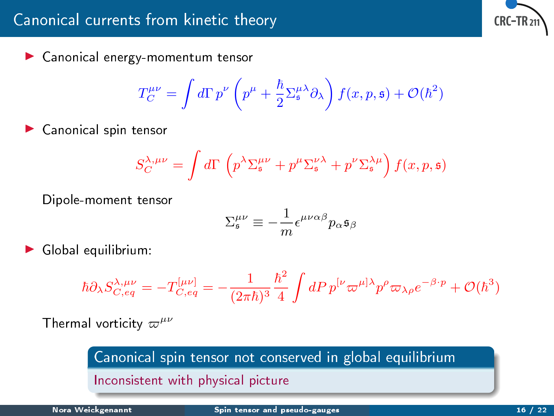$\blacktriangleright$  Canonical energy-momentum tensor

$$
T_C^{\mu\nu} = \int d\Gamma \, p^\nu \left( p^\mu + \frac{\hbar}{2} \Sigma_\mathfrak{s}^{\mu\lambda} \partial_\lambda \right) f(x, p, \mathfrak{s}) + \mathcal{O}(\hbar^2)
$$

Canonical spin tensor

$$
S_C^{\lambda,\mu\nu} = \int d\Gamma \, \left( p^\lambda \Sigma_\mathfrak{s}^{\mu\nu} + p^\mu \Sigma_\mathfrak{s}^{\nu\lambda} + p^\nu \Sigma_\mathfrak{s}^{\lambda\mu} \right) f(x,p,\mathfrak{s})
$$

Dipole-moment tensor

$$
\Sigma^{\mu\nu}_{\mathfrak{s}}\equiv -\frac{1}{m}\epsilon^{\mu\nu\alpha\beta}p_{\alpha}\mathfrak{s}_{\beta}
$$

Global equilibrium:

$$
\hbar \partial_\lambda S_{C,eq}^{\lambda,\mu\nu} = -T_{C,eq}^{[\mu\nu]} = -\frac{1}{(2\pi\hbar)^3}\frac{\hbar^2}{4}\int dP\,p^{[\nu}\varpi^{\mu]\lambda}p^\rho\varpi_{\lambda\rho}e^{-\beta\cdot p} + \mathcal{O}(\hbar^3)
$$

Thermal vorticity  $\varpi^{\mu\nu}$ 

Canonical spin tensor not conserved in global equilibrium Inconsistent with physical picture

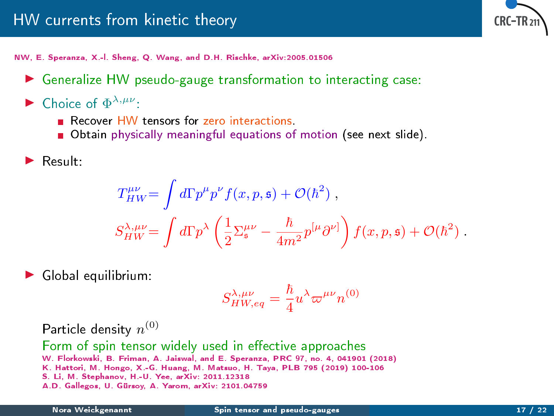

NW, E. Speranza, X.-l. Sheng, Q. Wang, and D.H. Rischke, arXiv:2005.01506

- $\triangleright$  Generalize HW pseudo-gauge transformation to interacting case:
- Choice of  $\Phi^{\lambda,\mu\nu}$ :
	- Recover HW tensors for zero interactions.
	- Obtain physically meaningful equations of motion (see next slide).
- Result:

$$
T_{HW}^{\mu\nu} = \int d\Gamma p^{\mu} p^{\nu} f(x, p, \mathfrak{s}) + \mathcal{O}(\hbar^2) ,
$$
  

$$
S_{HW}^{\lambda, \mu\nu} = \int d\Gamma p^{\lambda} \left( \frac{1}{2} \Sigma_{\mathfrak{s}}^{\mu\nu} - \frac{\hbar}{4m^2} p^{[\mu} \partial^{\nu]} \right) f(x, p, \mathfrak{s}) + \mathcal{O}(\hbar^2) .
$$

Global equilibrium:

$$
S^{\lambda, \mu\nu}_{HW, eq} = \frac{\hbar}{4} u^{\lambda} \varpi^{\mu\nu} n^{(0)}
$$

Particle density  $n^{(0)}$ 

Form of spin tensor widely used in effective approaches W. Florkowski, B. Friman, A. Jaiswal, and E. Speranza, PRC 97, no. 4, 041901 (2018) K. Hattori, M. Hongo, X.-G. Huang, M. Matsuo, H. Taya, PLB 795 (2019) 100-106 S. Li, M. Stephanov, H.-U. Yee, arXiv: 2011.12318 A.D. Gallegos, U. Gürsoy, A. Yarom, arXiv: 2101.04759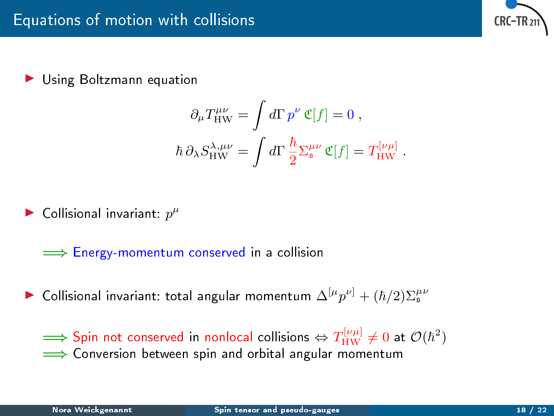

Using Boltzmann equation

$$
\partial_{\mu}T_{\rm HW}^{\mu\nu} = \int d\Gamma p^{\nu} \mathfrak{C}[f] = 0 ,
$$
  

$$
\hbar \partial_{\lambda}S_{\rm HW}^{\lambda,\mu\nu} = \int d\Gamma \frac{\hbar}{2} \Sigma_{\rm s}^{\mu\nu} \mathfrak{C}[f] = T_{\rm HW}^{[\nu\mu]}.
$$

 $\blacktriangleright$  Collisional invariant:  $p^{\mu}$ 

 $\implies$  Energy-momentum conserved in a collision

► Collisional invariant: total angular momentum  $\Delta^{[\mu} p^{\nu]} + (\hbar/2) \Sigma_{\mathfrak{s}}^{\mu\nu}$ 

 $\implies$  Spin not conserved in nonlocal collisions  $\Leftrightarrow T^{[\nu\mu]}_{\rm HW}\neq 0$  at  $\mathcal{O}(\hbar^2)$ </u>  $\implies$  Conversion between spin and orbital angular momentum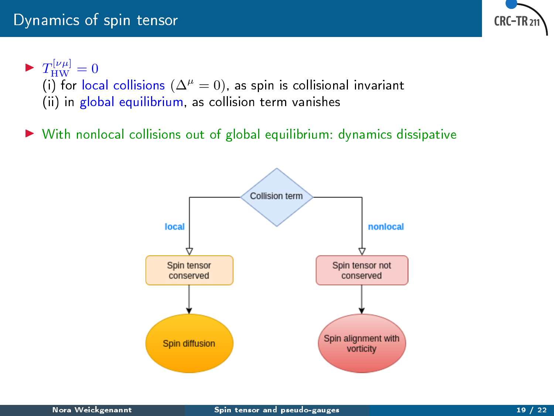

 $\blacktriangleright T_{\text{HW}}^{[\nu\mu]}=0$ (i) for local collisions ( $\Delta^{\mu} = 0$ ), as spin is collisional invariant (ii) in global equilibrium, as collision term vanishes

With nonlocal collisions out of global equilibrium: dynamics dissipative

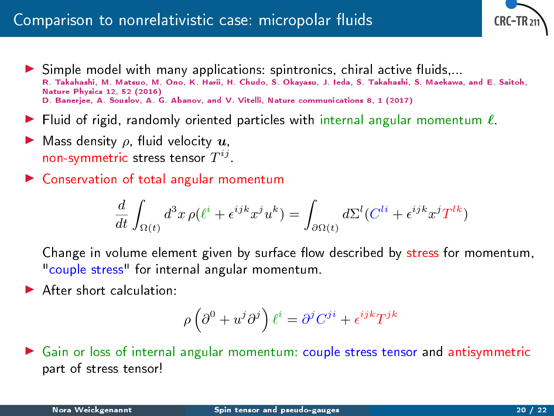# Comparison to nonrelativistic case: micropolar fluids



- $\triangleright$  Simple model with many applications: spintronics, chiral active fluids,... R. Takahashi, M. Matsuo, M. Ono, K. Harii, H. Chudo, S. Okayasu, J. Ieda, S. Takahashi, S. Maekawa, and E. Saitoh, Nature Physics 12, 52 (2016) D. Banerjee, A. Souslov, A. G. Abanov, and V. Vitelli, Nature communications 8, 1 (2017)
- In Fluid of rigid, randomly oriented particles with internal angular momentum  $\ell$ .
- Mass density  $\rho$ , fluid velocity  $\bm{u}$ , non-symmetric stress tensor  $T^{ij}$  .
- $\triangleright$  Conservation of total angular momentum

$$
\frac{d}{dt} \int_{\Omega(t)} d^3x \, \rho(\ell^i + \epsilon^{ijk} x^j u^k) = \int_{\partial \Omega(t)} d\Sigma^l (C^{li} + \epsilon^{ijk} x^j T^{lk})
$$

Change in volume element given by surface flow described by stress for momentum, "couple stress" for internal angular momentum.

 $\blacktriangleright$  After short calculation:

$$
\rho\left(\partial^0+u^j\partial^j\right)\ell^i=\partial^jC^{ji}+\epsilon^{ijk}T^{jk}
$$

I Gain or loss of internal angular momentum: couple stress tensor and antisymmetric part of stress tensor!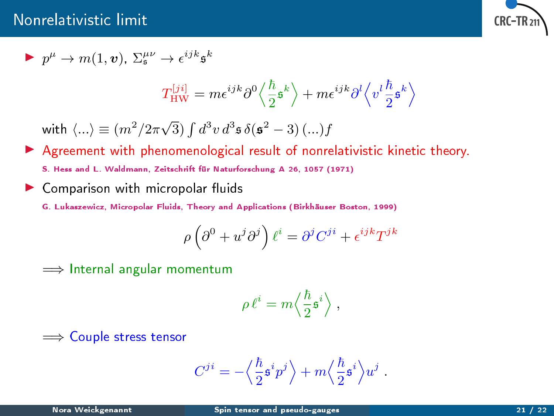## Nonrelativistic limit



$$
\blacktriangleright \ p^\mu \to m(1,\boldsymbol{v}), \ \Sigma^{\mu\nu}_\mathfrak{s} \to \epsilon^{ijk} \mathfrak{s}^k
$$

$$
T_\text{HW}^{[ji]} = m \epsilon^{ijk} \partial^0 \left\langle \frac{\hbar}{2} \mathfrak{s}^k \right\rangle + m \epsilon^{ijk} \partial^l \left\langle v^l \frac{\hbar}{2} \mathfrak{s}^k \right\rangle
$$

with  $\langle ...\rangle \equiv (m^2/2\pi\sqrt{3})\int d^3v\, d^3\mathfrak{s}\, \delta(\mathfrak{s}^2-3)\, (...)f$ 

- Agreement with phenomenological result of nonrelativistic kinetic theory. S. Hess and L. Waldmann, Zeitschrift für Naturforschung A 26, 1057 (1971)
- $\triangleright$  Comparison with micropolar fluids
	- G. Lukaszewicz, Micropolar Fluids, Theory and Applications (Birkhäuser Boston, 1999)

$$
\rho \left( \partial^0 + u^j \partial^j \right) \ell^i = \partial^j C^{ji} + \epsilon^{ijk} T^{jk}
$$

=⇒ Internal angular momentum

$$
\rho\,\ell^i = m \Big\langle \frac{\hbar}{2} \mathfrak{s}^i \Big\rangle \;,
$$

⇒ Couple stress tensor

$$
C^{ji}=-\Big\langle \frac{\hbar}{2}\mathfrak{s}^{i}p^{j}\Big\rangle +m\Big\langle \frac{\hbar}{2}\mathfrak{s}^{i}\Big\rangle u^{j}~.
$$